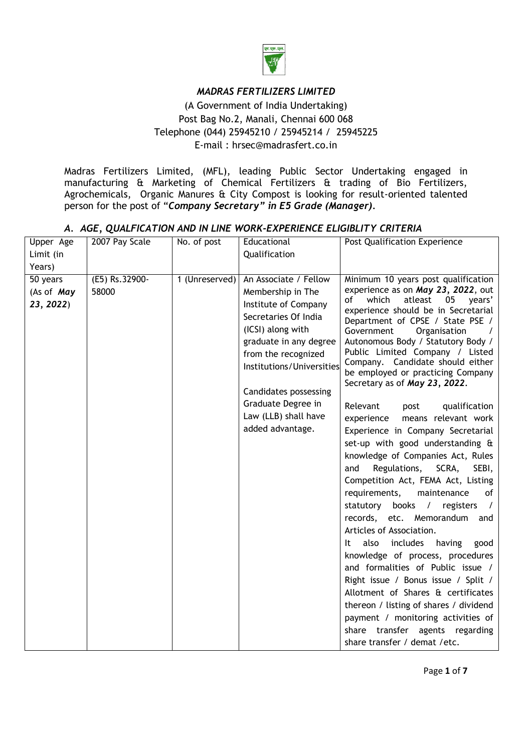

# *MADRAS FERTILIZERS LIMITED*

(A Government of India Undertaking) Post Bag No.2, Manali, Chennai 600 068 Telephone (044) 25945210 / 25945214 / 25945225 E-mail : hrsec@madrasfert.co.in

Madras Fertilizers Limited, (MFL), leading Public Sector Undertaking engaged in manufacturing & Marketing of Chemical Fertilizers & trading of Bio Fertilizers, Agrochemicals, Organic Manures & City Compost is looking for result-oriented talented person for the post of "*Company Secretary" in E5 Grade (Manager).*

#### *A. AGE, QUALFICATION AND IN LINE WORK-EXPERIENCE ELIGIBLITY CRITERIA*

| Upper Age<br>Limit (in                        | 2007 Pay Scale          | No. of post    | Educational<br>Qualification                                                                                                                                                                                                                                                             | Post Qualification Experience                                                                                                                                                                                                                                                                                                                                                                                                                                                                                                                                                                                                                                                                                                                                                                                                                                                                                                                                                                                                                                                                                                                                                            |
|-----------------------------------------------|-------------------------|----------------|------------------------------------------------------------------------------------------------------------------------------------------------------------------------------------------------------------------------------------------------------------------------------------------|------------------------------------------------------------------------------------------------------------------------------------------------------------------------------------------------------------------------------------------------------------------------------------------------------------------------------------------------------------------------------------------------------------------------------------------------------------------------------------------------------------------------------------------------------------------------------------------------------------------------------------------------------------------------------------------------------------------------------------------------------------------------------------------------------------------------------------------------------------------------------------------------------------------------------------------------------------------------------------------------------------------------------------------------------------------------------------------------------------------------------------------------------------------------------------------|
| Years)<br>50 years<br>(As of May<br>23, 2022) | (E5) Rs.32900-<br>58000 | 1 (Unreserved) | An Associate / Fellow<br>Membership in The<br>Institute of Company<br>Secretaries Of India<br>(ICSI) along with<br>graduate in any degree<br>from the recognized<br>Institutions/Universities<br>Candidates possessing<br>Graduate Degree in<br>Law (LLB) shall have<br>added advantage. | Minimum 10 years post qualification<br>experience as on May 23, 2022, out<br>of<br>which<br>atleast<br>years'<br>05<br>experience should be in Secretarial<br>Department of CPSE / State PSE /<br>Government<br>Organisation<br>Autonomous Body / Statutory Body /<br>Public Limited Company / Listed<br>Company. Candidate should either<br>be employed or practicing Company<br>Secretary as of May 23, 2022.<br>Relevant<br>qualification<br>post<br>means relevant work<br>experience<br>Experience in Company Secretarial<br>set-up with good understanding &<br>knowledge of Companies Act, Rules<br>Regulations,<br>SCRA,<br>SEBI,<br>and<br>Competition Act, FEMA Act, Listing<br>requirements,<br>maintenance<br>of<br>statutory books / registers<br>$\prime$<br>records, etc. Memorandum and<br>Articles of Association.<br>includes<br>also<br>having<br>good<br>It<br>knowledge of process, procedures<br>and formalities of Public issue /<br>Right issue / Bonus issue / Split /<br>Allotment of Shares & certificates<br>thereon / listing of shares / dividend<br>payment / monitoring activities of<br>share transfer agents regarding<br>share transfer / demat /etc. |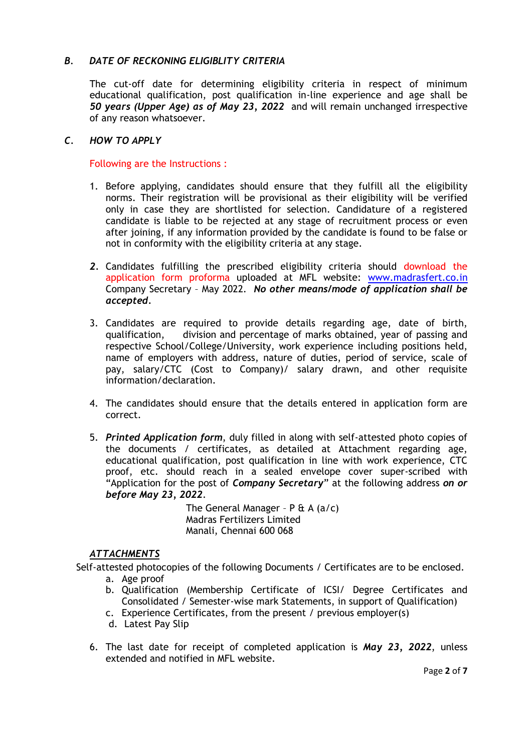### *B. DATE OF RECKONING ELIGIBLITY CRITERIA*

The cut-off date for determining eligibility criteria in respect of minimum educational qualification, post qualification in-line experience and age shall be *50 years (Upper Age) as of May 23, 2022* and will remain unchanged irrespective of any reason whatsoever.

#### *C. HOW TO APPLY*

Following are the Instructions :

- 1. Before applying, candidates should ensure that they fulfill all the eligibility norms. Their registration will be provisional as their eligibility will be verified only in case they are shortlisted for selection. Candidature of a registered candidate is liable to be rejected at any stage of recruitment process or even after joining, if any information provided by the candidate is found to be false or not in conformity with the eligibility criteria at any stage.
- *2.* Candidates fulfilling the prescribed eligibility criteria should download the application form proforma uploaded at MFL website: [www.madrasfert.co.in](http://www.madrasfert.co.in/) Company Secretary – May 2022. *No other means/mode of application shall be accepted.*
- 3. Candidates are required to provide details regarding age, date of birth, qualification, division and percentage of marks obtained, year of passing and respective School/College/University, work experience including positions held, name of employers with address, nature of duties, period of service, scale of pay, salary/CTC (Cost to Company)/ salary drawn, and other requisite information/declaration.
- 4. The candidates should ensure that the details entered in application form are correct.
- 5. *Printed Application form*, duly filled in along with self-attested photo copies of the documents / certificates, as detailed at Attachment regarding age, educational qualification, post qualification in line with work experience, CTC proof, etc. should reach in a sealed envelope cover super-scribed with "Application for the post of *Company Secretary*" at the following address *on or before May 23, 2022*.

The General Manager -  $P \& A (a/c)$ Madras Fertilizers Limited Manali, Chennai 600 068

#### *ATTACHMENTS*

Self-attested photocopies of the following Documents / Certificates are to be enclosed.

- a. Age proof
- b. Qualification (Membership Certificate of ICSI/ Degree Certificates and Consolidated / Semester-wise mark Statements, in support of Qualification)
- c. Experience Certificates, from the present / previous employer(s)
- d. Latest Pay Slip
- 6. The last date for receipt of completed application is *May 23, 2022*, unless extended and notified in MFL website.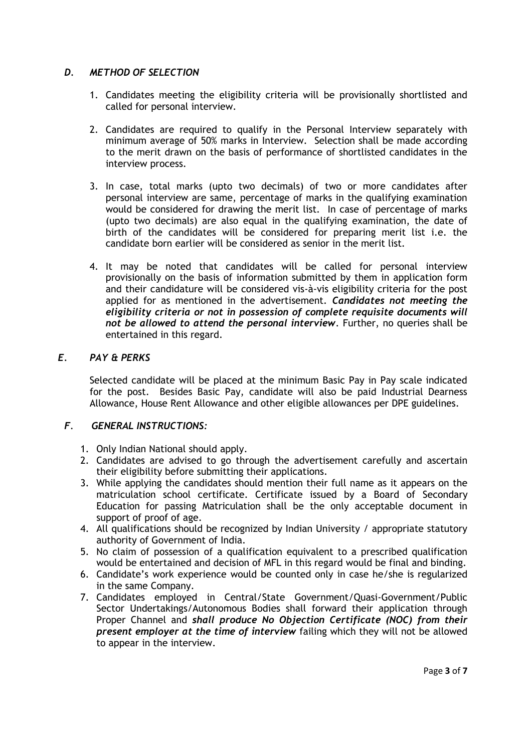#### *D. METHOD OF SELECTION*

- 1. Candidates meeting the eligibility criteria will be provisionally shortlisted and called for personal interview.
- 2. Candidates are required to qualify in the Personal Interview separately with minimum average of 50% marks in Interview. Selection shall be made according to the merit drawn on the basis of performance of shortlisted candidates in the interview process.
- 3. In case, total marks (upto two decimals) of two or more candidates after personal interview are same, percentage of marks in the qualifying examination would be considered for drawing the merit list. In case of percentage of marks (upto two decimals) are also equal in the qualifying examination, the date of birth of the candidates will be considered for preparing merit list i.e. the candidate born earlier will be considered as senior in the merit list.
- 4. It may be noted that candidates will be called for personal interview provisionally on the basis of information submitted by them in application form and their candidature will be considered vis-à-vis eligibility criteria for the post applied for as mentioned in the advertisement. *Candidates not meeting the eligibility criteria or not in possession of complete requisite documents will not be allowed to attend the personal interview*. Further, no queries shall be entertained in this regard.

#### *E. PAY & PERKS*

Selected candidate will be placed at the minimum Basic Pay in Pay scale indicated for the post. Besides Basic Pay, candidate will also be paid Industrial Dearness Allowance, House Rent Allowance and other eligible allowances per DPE guidelines.

### *F*. *GENERAL INSTRUCTIONS:*

- 1. Only Indian National should apply.
- 2. Candidates are advised to go through the advertisement carefully and ascertain their eligibility before submitting their applications.
- 3. While applying the candidates should mention their full name as it appears on the matriculation school certificate. Certificate issued by a Board of Secondary Education for passing Matriculation shall be the only acceptable document in support of proof of age.
- 4. All qualifications should be recognized by Indian University / appropriate statutory authority of Government of India.
- 5. No claim of possession of a qualification equivalent to a prescribed qualification would be entertained and decision of MFL in this regard would be final and binding.
- 6. Candidate's work experience would be counted only in case he/she is regularized in the same Company.
- 7. Candidates employed in Central/State Government/Quasi-Government/Public Sector Undertakings/Autonomous Bodies shall forward their application through Proper Channel and *shall produce No Objection Certificate (NOC) from their present employer at the time of interview* failing which they will not be allowed to appear in the interview.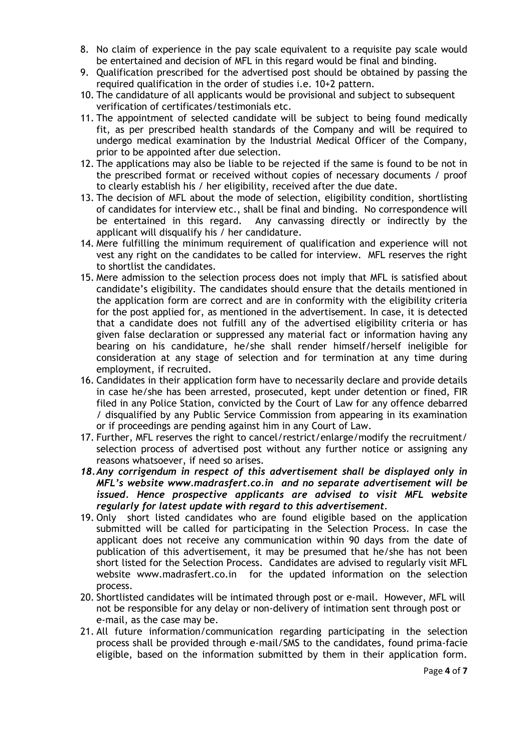- 8. No claim of experience in the pay scale equivalent to a requisite pay scale would be entertained and decision of MFL in this regard would be final and binding.
- 9. Qualification prescribed for the advertised post should be obtained by passing the required qualification in the order of studies i.e. 10+2 pattern.
- 10. The candidature of all applicants would be provisional and subject to subsequent verification of certificates/testimonials etc.
- 11. The appointment of selected candidate will be subject to being found medically fit, as per prescribed health standards of the Company and will be required to undergo medical examination by the Industrial Medical Officer of the Company, prior to be appointed after due selection.
- 12. The applications may also be liable to be rejected if the same is found to be not in the prescribed format or received without copies of necessary documents / proof to clearly establish his / her eligibility, received after the due date.
- 13. The decision of MFL about the mode of selection, eligibility condition, shortlisting of candidates for interview etc., shall be final and binding. No correspondence will be entertained in this regard. Any canvassing directly or indirectly by the applicant will disqualify his / her candidature.
- 14. Mere fulfilling the minimum requirement of qualification and experience will not vest any right on the candidates to be called for interview. MFL reserves the right to shortlist the candidates.
- 15. Mere admission to the selection process does not imply that MFL is satisfied about candidate's eligibility. The candidates should ensure that the details mentioned in the application form are correct and are in conformity with the eligibility criteria for the post applied for, as mentioned in the advertisement. In case, it is detected that a candidate does not fulfill any of the advertised eligibility criteria or has given false declaration or suppressed any material fact or information having any bearing on his candidature, he/she shall render himself/herself ineligible for consideration at any stage of selection and for termination at any time during employment, if recruited.
- 16. Candidates in their application form have to necessarily declare and provide details in case he/she has been arrested, prosecuted, kept under detention or fined, FIR filed in any Police Station, convicted by the Court of Law for any offence debarred / disqualified by any Public Service Commission from appearing in its examination or if proceedings are pending against him in any Court of Law.
- 17. Further, MFL reserves the right to cancel/restrict/enlarge/modify the recruitment/ selection process of advertised post without any further notice or assigning any reasons whatsoever, if need so arises.
- *18.Any corrigendum in respect of this advertisement shall be displayed only in MFL's website www.madrasfert.co.in and no separate advertisement will be issued. Hence prospective applicants are advised to visit MFL website regularly for latest update with regard to this advertisement.*
- 19. Only short listed candidates who are found eligible based on the application submitted will be called for participating in the Selection Process. In case the applicant does not receive any communication within 90 days from the date of publication of this advertisement, it may be presumed that he/she has not been short listed for the Selection Process. Candidates are advised to regularly visit MFL website www.madrasfert.co.in for the updated information on the selection process.
- 20. Shortlisted candidates will be intimated through post or e-mail. However, MFL will not be responsible for any delay or non-delivery of intimation sent through post or e-mail, as the case may be.
- 21. All future information/communication regarding participating in the selection process shall be provided through e-mail/SMS to the candidates, found prima-facie eligible, based on the information submitted by them in their application form.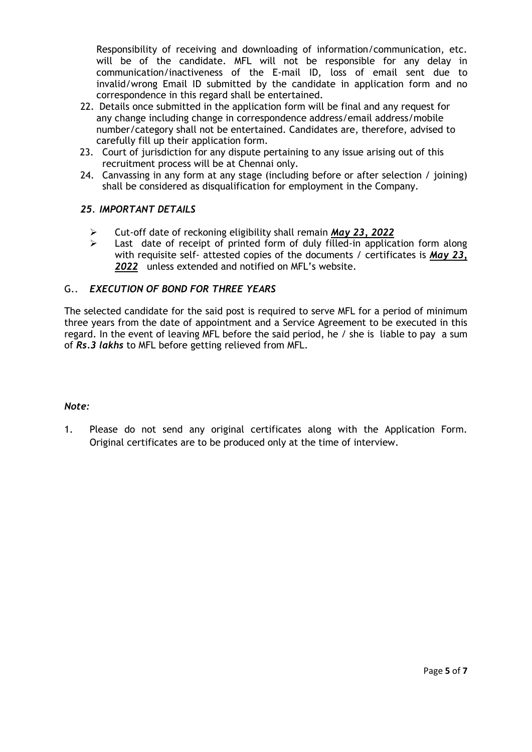Responsibility of receiving and downloading of information/communication, etc. will be of the candidate. MFL will not be responsible for any delay in communication/inactiveness of the E-mail ID, loss of email sent due to invalid/wrong Email ID submitted by the candidate in application form and no correspondence in this regard shall be entertained.

- 22. Details once submitted in the application form will be final and any request for any change including change in correspondence address/email address/mobile number/category shall not be entertained. Candidates are, therefore, advised to carefully fill up their application form.
- 23. Court of jurisdiction for any dispute pertaining to any issue arising out of this recruitment process will be at Chennai only.
- 24. Canvassing in any form at any stage (including before or after selection / joining) shall be considered as disqualification for employment in the Company.

#### *25. IMPORTANT DETAILS*

- Cut-off date of reckoning eligibility shall remain *May 23, 2022*
- $\triangleright$  Last date of receipt of printed form of duly filled-in application form along with requisite self- attested copies of the documents / certificates is *May 23, 2022* unless extended and notified on MFL's website.

#### G.. *EXECUTION OF BOND FOR THREE YEARS*

The selected candidate for the said post is required to serve MFL for a period of minimum three years from the date of appointment and a Service Agreement to be executed in this regard. In the event of leaving MFL before the said period, he / she is liable to pay a sum of *Rs.3 lakhs* to MFL before getting relieved from MFL.

#### *Note:*

1. Please do not send any original certificates along with the Application Form. Original certificates are to be produced only at the time of interview.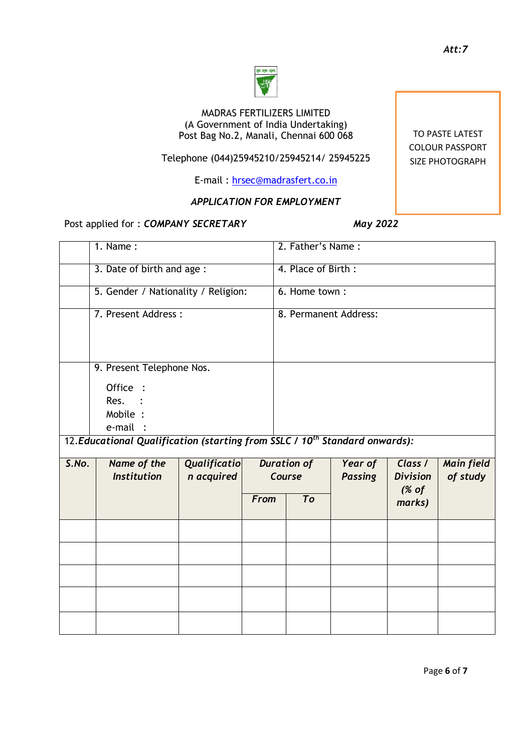#### MADRAS FERTILIZERS LIMITED (A Government of India Undertaking) Post Bag No.2, Manali, Chennai 600 068

.<br>एम.एफ़.ए

# Telephone (044)25945210/25945214/ 25945225

E-mail : [hrsec@madrasfert.co.in](mailto:hrsec@madrasfert.co.in)

# *APPLICATION FOR EMPLOYMENT*

# Post applied for : *COMPANY SECRETARY* May 2022

|                                                                                         | $1.$ Name:                          |                                   |               | 2. Father's Name:                  |                           |                                              |                               |
|-----------------------------------------------------------------------------------------|-------------------------------------|-----------------------------------|---------------|------------------------------------|---------------------------|----------------------------------------------|-------------------------------|
|                                                                                         | 3. Date of birth and age :          |                                   |               | 4. Place of Birth:                 |                           |                                              |                               |
|                                                                                         | 5. Gender / Nationality / Religion: |                                   | 6. Home town: |                                    |                           |                                              |                               |
|                                                                                         | 7. Present Address:                 |                                   |               | 8. Permanent Address:              |                           |                                              |                               |
| 9. Present Telephone Nos.<br>Office :<br>Res.<br>Mobile :<br>e-mail :                   |                                     |                                   |               |                                    |                           |                                              |                               |
| 12. Educational Qualification (starting from SSLC / 10 <sup>th</sup> Standard onwards): |                                     |                                   |               |                                    |                           |                                              |                               |
| S.No.                                                                                   | Name of the<br><b>Institution</b>   | <b>Qualificatio</b><br>n acquired | <b>From</b>   | <b>Duration of</b><br>Course<br>To | Year of<br><b>Passing</b> | Class /<br><b>Division</b><br>% of<br>marks) | <b>Main field</b><br>of study |
|                                                                                         |                                     |                                   |               |                                    |                           |                                              |                               |
|                                                                                         |                                     |                                   |               |                                    |                           |                                              |                               |
|                                                                                         |                                     |                                   |               |                                    |                           |                                              |                               |
|                                                                                         |                                     |                                   |               |                                    |                           |                                              |                               |
|                                                                                         |                                     |                                   |               |                                    |                           |                                              |                               |

TO PASTE LATEST COLOUR PASSPORT SIZE PHOTOGRAPH